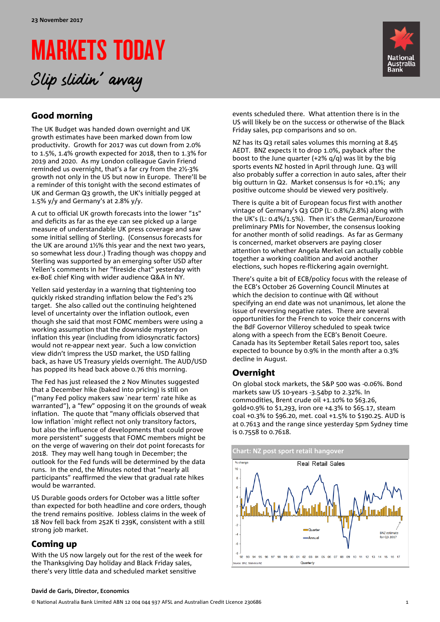# MARKETS TODAY Slip slidin' away



# Good morning

The UK Budget was handed down overnight and UK growth estimates have been marked down from low productivity. Growth for 2017 was cut down from 2.0% to 1.5%, 1.4% growth expected for 2018, then to 1.3% for 2019 and 2020. As my London colleague Gavin Friend reminded us overnight, that's a far cry from the 2½-3% growth not only in the US but now in Europe. There'll be a reminder of this tonight with the second estimates of UK and German Q3 growth, the UK's initially pegged at 1.5% y/y and Germany's at 2.8% y/y.

A cut to official UK growth forecasts into the lower "1s" and deficits as far as the eye can see picked up a large measure of understandable UK press coverage and saw some initial selling of Sterling. (Consensus forecasts for the UK are around 1½% this year and the next two years, so somewhat less dour.) Trading though was choppy and Sterling was supported by an emerging softer USD after Yellen's comments in her "fireside chat" yesterday with ex-BoE chief King with wider audience Q&A in NY.

Yellen said yesterday in a warning that tightening too quickly risked stranding inflation below the Fed's 2% target. She also called out the continuing heightened level of uncertainty over the inflation outlook, even though she said that most FOMC members were using a working assumption that the downside mystery on inflation this year (including from idiosyncratic factors) would not re-appear next year. Such a low conviction view didn't impress the USD market, the USD falling back, as have US Treasury yields overnight. The AUD/USD has popped its head back above 0.76 this morning.

The Fed has just released the 2 Nov Minutes suggested that a December hike (baked into pricing) is still on ("many Fed policy makers saw `near term' rate hike as warranted"), a "few" opposing it on the grounds of weak inflation. The quote that "many officials observed that low inflation `might reflect not only transitory factors, but also the influence of developments that could prove more persistent" suggests that FOMC members might be on the verge of wavering on their dot point forecasts for 2018. They may well hang tough in December; the outlook for the Fed funds will be determined by the data runs. In the end, the Minutes noted that "nearly all participants" reaffirmed the view that gradual rate hikes would be warranted.

US Durable goods orders for October was a little softer than expected for both headline and core orders, though the trend remains positive. Jobless claims in the week of 18 Nov fell back from 252K ti 239K, consistent with a still strong job market.

## Coming up

With the US now largely out for the rest of the week for the Thanksgiving Day holiday and Black Friday sales, there's very little data and scheduled market sensitive

events scheduled there. What attention there is in the US will likely be on the success or otherwise of the Black Friday sales, pcp comparisons and so on.

NZ has its Q3 retail sales volumes this morning at 8.45 AEDT. BNZ expects it to drop 1.0%, payback after the boost to the June quarter (+2% q/q) was lit by the big sports events NZ hosted in April through June. Q3 will also probably suffer a correction in auto sales, after their big outturn in Q2. Market consensus is for +0.1%; any positive outcome should be viewed very positively.

There is quite a bit of European focus first with another vintage of Germany's Q3 GDP (L: 0.8%/2.8%) along with the UK's (L: 0.4%/1.5%). Then it's the German/Eurozone preliminary PMIs for November, the consensus looking for another month of solid readings. As far as Germany is concerned, market observers are paying closer attention to whether Angela Merkel can actually cobble together a working coalition and avoid another elections, such hopes re-flickering again overnight.

There's quite a bit of ECB/policy focus with the release of the ECB's October 26 Governing Council Minutes at which the decision to continue with QE without specifying an end date was not unanimous, let alone the issue of reversing negative rates. There are several opportunities for the French to voice their concerns with the BdF Governor Villeroy scheduled to speak twice along with a speech from the ECB's Benoit Coeure. Canada has its September Retail Sales report too, sales expected to bounce by 0.9% in the month after a 0.3% decline in August.

# Overnight

On global stock markets, the S&P 500 was -0.06%. Bond markets saw US 10-years -3.54bp to 2.32%. In commodities, Brent crude oil +1.10% to \$63.26, gold+0.9% to \$1,293, iron ore +4.3% to \$65.17, steam coal +0.3% to \$96.20, met. coal +1.5% to \$190.25. AUD is at 0.7613 and the range since yesterday 5pm Sydney time is 0.7558 to 0.7618.



#### **David de Garis, Director, Economics**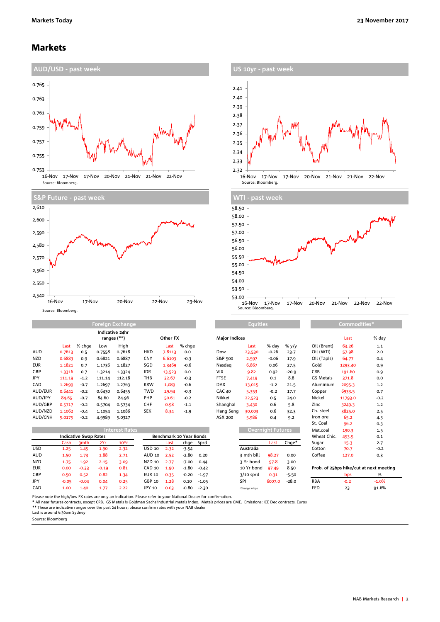### Markets



| <b>US IOVI - PASL WEEK</b>                                                               |
|------------------------------------------------------------------------------------------|
|                                                                                          |
| 2.41                                                                                     |
| 2.40                                                                                     |
| 2.39                                                                                     |
| 2.38                                                                                     |
| 2.37                                                                                     |
| 2.36                                                                                     |
| 2.35                                                                                     |
| 2.34                                                                                     |
| 2.33<br><b>n</b> um                                                                      |
| 2.32                                                                                     |
| 16-Nov<br>17-Nov<br>20-Nov<br>21-Nov<br>21-Nov<br>22-Nov<br>17-Nov<br>Source: Bloomberg. |



|            |        | Indicative 24hr<br>ranges (**) |        |        |            | Other FX |        | <b>Maior Indices</b> |        |         |         | Last        | % da    |        |
|------------|--------|--------------------------------|--------|--------|------------|----------|--------|----------------------|--------|---------|---------|-------------|---------|--------|
|            | Last   | % chae                         | Low    | High   |            | Last     | % chge |                      | Last   | % day   | % y/y   | Oil (Brent) | 63.26   | 1.1    |
| <b>AUD</b> | 0.7613 | 0.5                            | 0.7558 | 0.7618 | <b>HKD</b> | 7.8113   | 0.0    | Dow                  | 23,530 | $-0.26$ | 23.7    | Oil (WTI)   | 57.98   | 2.0    |
| <b>NZD</b> | 0.6883 | 0.9                            | 0.6821 | 0.6887 | <b>CNY</b> | 6.6103   | $-0.3$ | S&P 500              | 2,597  | $-0.06$ | 17.9    | Oil (Tapis) | 64.77   | 0.4    |
| <b>EUR</b> | 1.1821 | 0.7                            | 1.1736 | 1.1827 | SGD        | 1.3469   | $-0.6$ | Nasdag               | 6,867  | 0.06    | 27.5    | Gold        | 1293.40 | 0.9    |
| GBP        | 1.3316 | 0.7                            | 1.3214 | 1.3324 | <b>IDR</b> | 13,523   | 0.0    | <b>VIX</b>           | 9.82   | 0.92    | $-20.9$ | <b>CRB</b>  | 191.60  | 0.9    |
| <b>JPY</b> | 111.19 | $-1.2$                         | 111.14 | 112.18 | THB        | 32.67    | $-0.3$ | <b>FTSE</b>          | 7.419  | 0.1     | 8.8     | GS Metals   | 371.8   | 0.0    |
| <b>CAD</b> | 1.2699 | $-0.7$                         | 1.2697 | 1.2763 | <b>KRW</b> | 1,089    | $-0.6$ | <b>DAX</b>           | 13,015 | $-1.2$  | 21.5    | Aluminium   | 2095.3  | 1.2    |
| AUD/EUR    | 0.6441 | $-0.2$                         | 0.6430 | 0.6455 | <b>TWD</b> | 29.94    | $-0.3$ | <b>CAC 40</b>        | 5,353  | $-0.2$  | 17.7    | Copper      | 6933.5  | 0.7    |
| AUD/JPY    | 84.65  | $-0.7$                         | 84.60  | 84.96  | <b>PHP</b> | 50.61    | $-0.2$ | Nikkei               | 22,523 | 0.5     | 24.0    | Nickel      | 11793.0 | $-0.2$ |
| AUD/GBP    | 0.5717 | $-0.2$                         | 0.5704 | 0.5734 | <b>CHF</b> | 0.98     | $-1.1$ | Shanghai             | 3.430  | 0.6     | 5.8     | Zinc        | 3249.3  | 1.2    |
| AUD/NZD    | 1.1062 | $-0.4$                         | 1.1054 | 1.1086 | <b>SEK</b> | 8.34     | $-1.9$ | Hang Seng            | 30,003 | 0.6     | 32.3    | Ch. steel   | 3825.0  | 2.5    |
| AUD/CNH    | 5.0175 | $-0.2$                         | 4.9989 | 5.0327 |            |          |        | ASX 200              | 5,986  | 0.4     | 9.2     | Iron ore    | 65.2    | 4.3    |

|            | <b>Interest Rates</b>        |         |         |      |                         |      |         |           | <b>Overnight Futures</b> |        |         | Met.coal   | 190.3      | 1.5                                     |
|------------|------------------------------|---------|---------|------|-------------------------|------|---------|-----------|--------------------------|--------|---------|------------|------------|-----------------------------------------|
|            | <b>Indicative Swap Rates</b> |         |         |      | Benchmark 10 Year Bonds |      |         |           |                          |        |         |            | 453.5      | 0.1                                     |
|            | Cash                         | 3mth    | 2Yr     | 10Yr |                         | Last |         | chge Sprd |                          | Last   | Chae*   | Sugar      | 15.3       | 2.7                                     |
| <b>USD</b> | 1.25                         | 1.45    | 1.90    | 2.32 | USD 10                  | 2.32 | $-3.54$ |           | Australia                |        |         | Cotton     | 70.7       | $-0.2$                                  |
| <b>AUD</b> | 1.50                         | 1.73    | 1.88    | 2.71 | AUD 10                  | 2.52 | $-2.80$ | 0.20      | 3 mth bill               | 98.27  | 0.00    | Coffee     | 127.0      | 0.3                                     |
| <b>NZD</b> | 1.75                         | 1.92    | 2.15    | 3.09 | NZD 10                  | 2.77 | $-7.00$ | 0.44      | 3 Yr bond                | 97.8   | 3.00    |            |            |                                         |
| <b>EUR</b> | 0.00                         | $-0.33$ | $-0.19$ | 0.81 | CAD 10                  | 1.90 | $-1.80$ | $-0.42$   | 10 Yr bond               | 97.49  | 8.50    |            |            | Prob. of 25bps hike/cut at next meeting |
| GBP        | 0.50                         | 0.52    | 0.82    | 1.34 | <b>EUR 10</b>           | 0.35 | $-0.20$ | $-1.97$   | $3/10$ sprd              | 0.31   | $-5.50$ |            | <b>bps</b> | %                                       |
| JPY        | $-0.05$                      | $-0.04$ | 0.04    | 0.25 | GBP 10                  | 1.28 | 0.10    | $-1.05$   | SPI                      | 6007.0 | $-28.0$ | <b>RBA</b> | $-0.2$     | $-1.0%$                                 |
| CAD        | 1.00                         | 1.40    | 1.77    | 2.22 | JPY 10                  | 0.03 | $-0.80$ | $-2.30$   | *Change in bps           |        |         | <b>FED</b> | 23         | 91.6%                                   |

| <b>Major Indices</b> |             |                          |         |                 |
|----------------------|-------------|--------------------------|---------|-----------------|
|                      | Last        | % day                    | % y/y   | Oil (B          |
| Dow                  | 23,530      | $-0.26$                  | 23.7    | Oil (V          |
| S&P 500              | 2,597       | $-0.06$                  | 17.9    | Oil (T          |
| Nasdag               | 6,867       | 0.06                     | 27.5    | Gold            |
| <b>VIX</b>           | 9.82        | 0.92                     | $-20.9$ | <b>CRB</b>      |
| <b>FTSE</b>          | 7,419       | 0.1                      | 8.8     | GS <sub>M</sub> |
| <b>DAX</b>           | 13,015      | $-1.2$                   | 21.5    | Alum            |
| <b>CAC 40</b>        | 5,353       | $-0.2$                   | 17.7    | Copp            |
| Nikkei               | 22,523      | 0.5                      | 24.0    | Nicke           |
| Shanghai             | 3,430       | 0.6                      | 5.8     | Zinc            |
| Hang Seng            | 30,003      | 0.6                      | 32.3    | Ch. st          |
| ASX 200              | 5,986       | 0.4                      | 9.2     | Iron o          |
|                      |             |                          |         | St. Cc          |
|                      |             | <b>Overnight Futures</b> |         | Met.c           |
|                      |             |                          |         | Whea            |
|                      |             | Last                     | Chge*   | Sugar           |
|                      | Australia   |                          |         | Cotto           |
|                      | 3 mth bill  | 98.27                    | 0.00    | Coffe           |
|                      | 3 Yr bond   | 97.8                     | 3.00    |                 |
|                      | 10 Yr bond  | 97.49                    | 8.50    | Prob.           |
|                      | $3/10$ sprd | 0.31                     | $-5.50$ |                 |
|                      | SPI         | 6007.0                   | $-28.0$ | <b>RBA</b>      |
|                      |             |                          |         |                 |

|             | Last    | % day                                   |
|-------------|---------|-----------------------------------------|
| Oil (Brent) | 63.26   | 1.1                                     |
| Oil (WTI)   | 57.98   | 2.0                                     |
| Oil (Tapis) | 64.77   | 0.4                                     |
| Gold        | 1293.40 | 0.9                                     |
| CRB         | 191.60  | 0.9                                     |
| GS Metals   | 371.8   | 0.0                                     |
| Aluminium   | 2095.3  | 1.2                                     |
| Copper      | 6933.5  | 0.7                                     |
| Nickel      | 11793.0 | $-0.2$                                  |
| Zinc        | 3249.3  | 1.2                                     |
| Ch. steel   | 3825.0  | 2.5                                     |
| Iron ore    | 65.2    | 4.3                                     |
| St. Coal    | 96.2    | 0.3                                     |
| Met.coal    | 190.3   | 1.5                                     |
| Wheat Chic. | 453.5   | 0.1                                     |
| Sugar       | 15.3    | 2.7                                     |
| Cotton      | 70.7    | $-0.2$                                  |
| Coffee      | 127.0   | 0.3                                     |
|             |         |                                         |
|             |         | Prob. of 25bps hike/cut at next meeting |
|             | bps     | %                                       |

Please note the high/low FX rates are only an indication. Please refer to your National Dealer for confirmation.<br>\* All near futures contracts, except CRB. GS Metals is Goldman Sachs industrial metals index. Metals prices

Source: Bloomberg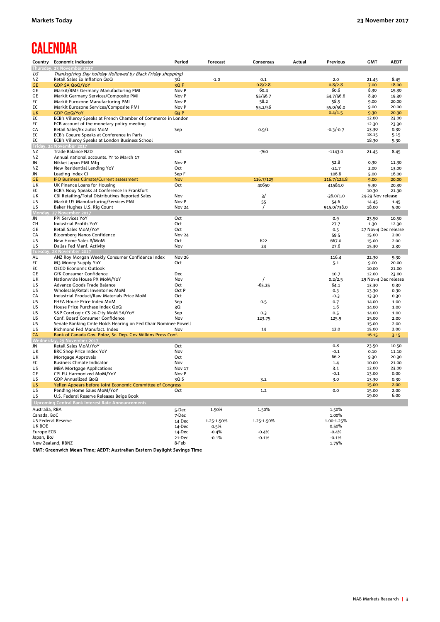# **CALENDAR**

| Country            | <b>Economic Indicator</b>                                                   | Period           | Forecast   | Consensus  | Actual | Previous       | <b>GMT</b>           | <b>AEDT</b>    |
|--------------------|-----------------------------------------------------------------------------|------------------|------------|------------|--------|----------------|----------------------|----------------|
|                    | Thursday, 23 November 2017                                                  |                  |            |            |        |                |                      |                |
| US                 | Thanksgiving Day holiday (followed by Black Friday shopping)                |                  |            |            |        |                |                      |                |
| ΝZ                 | Retail Sales Ex Inflation QoQ                                               | 3Q               | $-1.0$     | 0.1        |        | 2.0            | 21.45                | 8.45           |
| <b>GE</b>          | <b>GDP SA QoQ/YoY</b>                                                       | 3QF              |            | 0.8/2.8    |        | 0.8/2.8        | 7.00                 | 18.00          |
| GE                 | Markit/BME Germany Manufacturing PMI                                        | Nov P            |            | 60.4       |        | 60.6           | 8.30                 | 19.30          |
| GE                 | Markit Germany Services/Composite PMI                                       | Nov P            |            | 55/56.7    |        | 54.7/56.6      | 8.30                 | 19.30          |
| EC                 | Markit Eurozone Manufacturing PMI                                           | Nov P            |            | 58.2       |        | 58.5           | 9.00                 | 20.00          |
| EC                 | Markit Eurozone Services/Composite PMI                                      | Nov P            |            | 55.2/56    |        | 55.0/56.0      | 9.00                 | 20.00          |
| UK                 | <b>GDP QoQ/YoY</b>                                                          | Q <sub>3</sub> P |            |            |        | 0.4/1.5        | 9.30                 | 20.30          |
| EC                 | ECB's Villeroy Speaks at French Chamber of Commerce in London               |                  |            |            |        |                | 12.00                | 23.00          |
| EC                 | ECB account of the monetary policy meeting                                  |                  |            |            |        |                | 12.30                | 23.30          |
| CA                 | Retail Sales/Ex autos MoM                                                   | Sep              |            | 0.9/1      |        | $-0.3/-0.7$    | 13.30                | 0.30           |
| EC                 | ECB's Coeure Speaks at Conference in Paris                                  |                  |            |            |        |                | 18.15                | 5.15           |
| EC                 | ECB's Villeroy Speaks at London Business School<br>Friday, 24 November 2017 |                  |            |            |        |                | 18.30                | 5.30           |
| ΝZ                 | Trade Balance NZD                                                           | Oct              |            | $-760$     |        | $-1143.0$      | 21.45                | 8.45           |
| NZ                 | Annual national accounts. Yr to March 17                                    |                  |            |            |        |                |                      |                |
| JN                 | Nikkei Japan PMI Mfg                                                        | Nov P            |            |            |        | 52.8           | 0.30                 | 11.30          |
| NZ                 | New Residential Lending YoY                                                 | Oct              |            |            |        | $-21.7$        | 2.00                 | 13.00          |
| JN                 | Leading Index CI                                                            | Sep F            |            |            |        | 106.6          | 5.00                 | 16.00          |
| <b>GE</b>          | IFO Business Climate/Current assessment                                     | <b>Nov</b>       |            | 116.7/125  |        | 116.7/124.8    | 9.00                 | 20.00          |
| UK                 | UK Finance Loans for Housing                                                | Oct              |            | 40650      |        | 41584.0        | 9.30                 | 20.30          |
| EC                 | ECB's Nouy Speaks at Conference in Frankfurt                                |                  |            |            |        |                | 10.30                | 21.30          |
| UK                 | CBI Retailing/Total Distributives Reported Sales                            | Nov              |            | 3/         |        | $-36.0/1.0$    | 24-29 Nov release    |                |
| US                 | Markit US Manufacturing/Services PMI                                        | Nov P            |            | 55         |        | 54.6           | 14.45                | 1.45           |
| US                 | Baker Hughes U.S. Rig Count                                                 | <b>Nov 24</b>    |            | $\prime$   |        | 915.0/738.0    | 18.00                | 5.00           |
| (Monda             | 27 November 2017                                                            |                  |            |            |        |                |                      |                |
| JN                 | <b>PPI Services YoY</b>                                                     | Oct              |            |            |        | 0.9            | 23.50                | 10.50          |
| CH                 | <b>Industrial Profits YoY</b>                                               | Oct              |            |            |        | 27.7           | 1.30                 | 12.30          |
| GE                 | Retail Sales MoM/YoY                                                        | Oct              |            |            |        | 0.5            | 27 Nov-4 Dec release |                |
| CA                 | Bloomberg Nanos Confidence                                                  | <b>Nov 24</b>    |            |            |        | 59.5           | 15.00                | 2.00           |
| US                 | New Home Sales #/MoM                                                        | Oct              |            | 622        |        | 667.0          | 15.00                | 2.00           |
| US                 | Dallas Fed Manf. Activity                                                   | Nov              |            | 24         |        | 27.6           | 15.30                | 2.30           |
| Tuesday<br>AU      | 28 November 2017<br>ANZ Roy Morgan Weekly Consumer Confidence Index         | Nov 26           |            |            |        | 116.4          | 22.30                | 9.30           |
| EC                 | M3 Money Supply YoY                                                         | Oct              |            |            |        | 5.1            | 9.00                 | 20.00          |
| EC                 | <b>OECD Economic Outlook</b>                                                |                  |            |            |        |                | 10.00                | 21.00          |
| GE                 | GfK Consumer Confidence                                                     | Dec              |            |            |        | 10.7           | 12.00                | 23.00          |
| UK                 | Nationwide House PX MoM/YoY                                                 | Nov              |            |            |        | 0.2/2.5        | 29 Nov-4 Dec release |                |
| US                 | Advance Goods Trade Balance                                                 | Oct              |            | $-65.25$   |        | 64.1           | 13.30                | 0.30           |
| US                 | Wholesale/Retail Inventories MoM                                            | Oct P            |            |            |        | 0.3            | 13.30                | 0.30           |
| CA                 | Industrial Product/Raw Materials Price MoM                                  | Oct              |            |            |        | $-0.3$         | 13.30                | 0.30           |
| US                 | FHFA House Price Index MoM                                                  | Sep              |            | 0.5        |        | 0.7            | 14.00                | 1.00           |
| US                 | House Price Purchase Index QoQ                                              | 3Q               |            |            |        | 1.6            | 14.00                | 1.00           |
| US                 | S&P CoreLogic CS 20-City MoM SA/YoY                                         | Sep              |            | 0.3        |        | 0.5            | 14.00                | 1.00           |
| US                 | Conf. Board Consumer Confidence                                             | Nov              |            | 123.75     |        | 125.9          | 15.00                | 2.00           |
| US                 | Senate Banking Cmte Holds Hearing on Fed Chair Nominee Powell               |                  |            |            |        |                | 15.00                | 2.00           |
| US                 | Richmond Fed Manufact. Index                                                | Nov              |            | 14         |        | 12.0           | 15.00                | 2.00           |
| <b>CA</b>          | Bank of Canada Gov. Poloz, Sr. Dep. Gov Wilkins Press Conf.                 |                  |            |            |        |                | 16.15                | 3.15           |
|                    | Wednesday, 29 November 2017                                                 |                  |            |            |        |                |                      |                |
| JN                 | Retail Sales MoM/YoY                                                        | Oct              |            |            |        | 0.8            | 23.50                | 10.50          |
| UK                 | BRC Shop Price Index YoY                                                    | Nov<br>Oct       |            |            |        | $-0.1$<br>66.2 | 0.10                 | 11.10<br>20.30 |
| UK<br>EC           | Mortgage Approvals<br><b>Business Climate Indicator</b>                     | Nov              |            |            |        | 1.4            | 9.30<br>10.00        | 21.00          |
| US                 | <b>MBA Mortgage Applications</b>                                            | <b>Nov 17</b>    |            |            |        | 3.1            | 12.00                | 23.00          |
| GE                 | CPI EU Harmonized MoM/YoY                                                   | Nov P            |            |            |        | $-0.1$         | 13.00                | 0.00           |
| US                 | GDP Annualized QoQ                                                          | 3Q S             |            | 3.2        |        | 3.0            | 13.30                | 0.30           |
| <b>US</b>          | Yellen Appears before Joint Economic Committee of Congress                  |                  |            |            |        |                | 15.00                | 2.00           |
| US.                | Pending Home Sales MoM/YoY                                                  | Oct              |            | 1.2        |        | 0.0            | 15.00                | 2.00           |
| US                 | U.S. Federal Reserve Releases Beige Book                                    |                  |            |            |        |                | 19.00                | 6.00           |
|                    | Upcoming Central Bank Interest Rate Announcements                           |                  |            |            |        |                |                      |                |
| Australia, RBA     |                                                                             |                  | 1.50%      | 1.50%      |        | 1.50%          |                      |                |
| Canada, BoC        |                                                                             | 5-Dec<br>7-Dec   |            |            |        | 1.00%          |                      |                |
| US Federal Reserve |                                                                             | 14 Dec           | 1.25-1.50% | 1.25-1.50% |        | 1.00-1.25%     |                      |                |
| UK BOE             |                                                                             | 14-Dec           | 0.5%       |            |        | 0.50%          |                      |                |
| Europe ECB         |                                                                             | 14-Dec           | $-0.4%$    | $-0.4%$    |        | $-0.4%$        |                      |                |
| Japan, BoJ         |                                                                             | 21-Dec           | $-0.1%$    | $-0.1%$    |        | $-0.1%$        |                      |                |
|                    | New Zealand, RBNZ                                                           | 8-Feb            |            |            |        | 1.75%          |                      |                |

GMT: Greenwich Mean Time; AEDT: Australian Eastern Daylight Savings Time